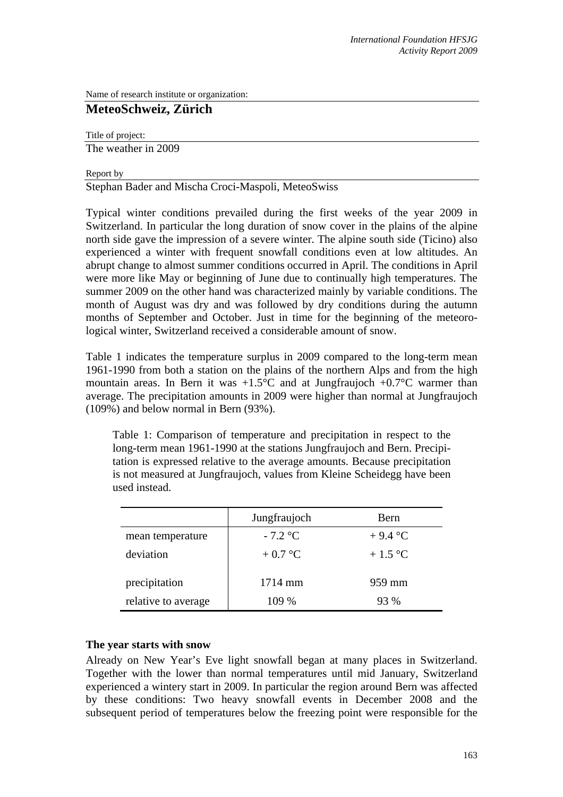Name of research institute or organization:

# **MeteoSchweiz, Zürich**

Title of project:

The weather in 2009

#### Report by

Stephan Bader and Mischa Croci-Maspoli, MeteoSwiss

Typical winter conditions prevailed during the first weeks of the year 2009 in Switzerland. In particular the long duration of snow cover in the plains of the alpine north side gave the impression of a severe winter. The alpine south side (Ticino) also experienced a winter with frequent snowfall conditions even at low altitudes. An abrupt change to almost summer conditions occurred in April. The conditions in April were more like May or beginning of June due to continually high temperatures. The summer 2009 on the other hand was characterized mainly by variable conditions. The month of August was dry and was followed by dry conditions during the autumn months of September and October. Just in time for the beginning of the meteorological winter, Switzerland received a considerable amount of snow.

Table 1 indicates the temperature surplus in 2009 compared to the long-term mean 1961-1990 from both a station on the plains of the northern Alps and from the high mountain areas. In Bern it was  $+1.5^{\circ}$ C and at Jungfraujoch  $+0.7^{\circ}$ C warmer than average. The precipitation amounts in 2009 were higher than normal at Jungfraujoch (109%) and below normal in Bern (93%).

Table 1: Comparison of temperature and precipitation in respect to the long-term mean 1961-1990 at the stations Jungfraujoch and Bern. Precipitation is expressed relative to the average amounts. Because precipitation is not measured at Jungfraujoch, values from Kleine Scheidegg have been used instead.

|                     | Jungfraujoch | Bern      |
|---------------------|--------------|-----------|
| mean temperature    | $-7.2$ °C    | $+9.4$ °C |
| deviation           | $+0.7$ °C    | $+1.5$ °C |
| precipitation       | $1714$ mm    | 959 mm    |
| relative to average | $109\%$      | 93 %      |

## **The year starts with snow**

Already on New Year's Eve light snowfall began at many places in Switzerland. Together with the lower than normal temperatures until mid January, Switzerland experienced a wintery start in 2009. In particular the region around Bern was affected by these conditions: Two heavy snowfall events in December 2008 and the subsequent period of temperatures below the freezing point were responsible for the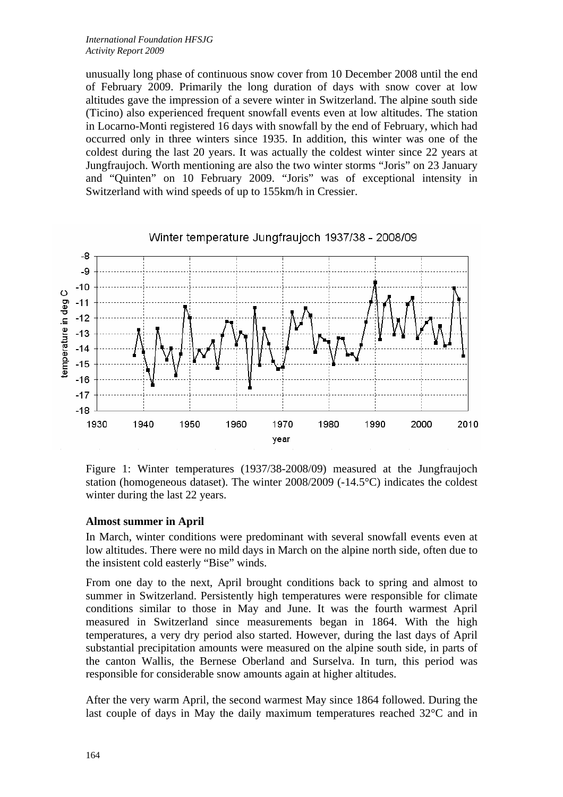unusually long phase of continuous snow cover from 10 December 2008 until the end of February 2009. Primarily the long duration of days with snow cover at low altitudes gave the impression of a severe winter in Switzerland. The alpine south side (Ticino) also experienced frequent snowfall events even at low altitudes. The station in Locarno-Monti registered 16 days with snowfall by the end of February, which had occurred only in three winters since 1935. In addition, this winter was one of the coldest during the last 20 years. It was actually the coldest winter since 22 years at Jungfraujoch. Worth mentioning are also the two winter storms "Joris" on 23 January and "Quinten" on 10 February 2009. "Joris" was of exceptional intensity in Switzerland with wind speeds of up to 155km/h in Cressier.



Figure 1: Winter temperatures (1937/38-2008/09) measured at the Jungfraujoch station (homogeneous dataset). The winter 2008/2009 (-14.5°C) indicates the coldest winter during the last 22 years.

## **Almost summer in April**

In March, winter conditions were predominant with several snowfall events even at low altitudes. There were no mild days in March on the alpine north side, often due to the insistent cold easterly "Bise" winds.

From one day to the next, April brought conditions back to spring and almost to summer in Switzerland. Persistently high temperatures were responsible for climate conditions similar to those in May and June. It was the fourth warmest April measured in Switzerland since measurements began in 1864. With the high temperatures, a very dry period also started. However, during the last days of April substantial precipitation amounts were measured on the alpine south side, in parts of the canton Wallis, the Bernese Oberland and Surselva. In turn, this period was responsible for considerable snow amounts again at higher altitudes.

After the very warm April, the second warmest May since 1864 followed. During the last couple of days in May the daily maximum temperatures reached 32°C and in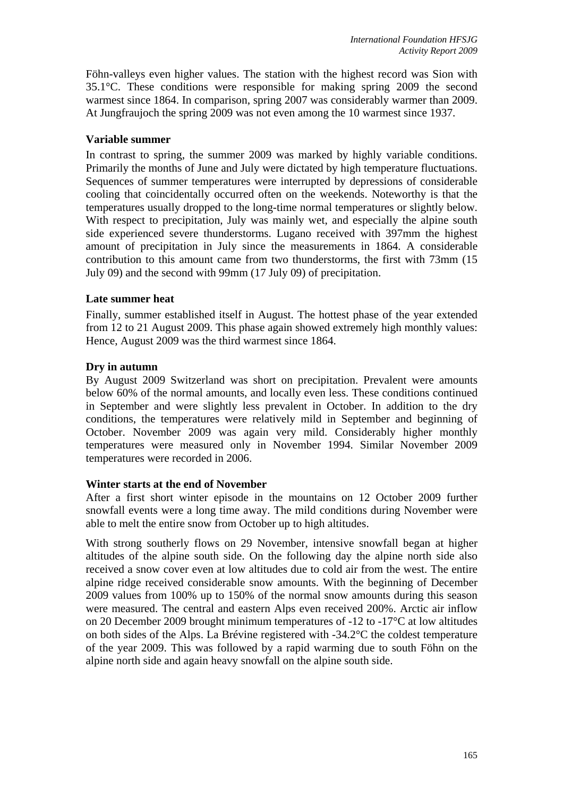Föhn-valleys even higher values. The station with the highest record was Sion with 35.1°C. These conditions were responsible for making spring 2009 the second warmest since 1864. In comparison, spring 2007 was considerably warmer than 2009. At Jungfraujoch the spring 2009 was not even among the 10 warmest since 1937.

## **Variable summer**

In contrast to spring, the summer 2009 was marked by highly variable conditions. Primarily the months of June and July were dictated by high temperature fluctuations. Sequences of summer temperatures were interrupted by depressions of considerable cooling that coincidentally occurred often on the weekends. Noteworthy is that the temperatures usually dropped to the long-time normal temperatures or slightly below. With respect to precipitation, July was mainly wet, and especially the alpine south side experienced severe thunderstorms. Lugano received with 397mm the highest amount of precipitation in July since the measurements in 1864. A considerable contribution to this amount came from two thunderstorms, the first with 73mm (15 July 09) and the second with 99mm (17 July 09) of precipitation.

#### **Late summer heat**

Finally, summer established itself in August. The hottest phase of the year extended from 12 to 21 August 2009. This phase again showed extremely high monthly values: Hence, August 2009 was the third warmest since 1864.

## **Dry in autumn**

By August 2009 Switzerland was short on precipitation. Prevalent were amounts below 60% of the normal amounts, and locally even less. These conditions continued in September and were slightly less prevalent in October. In addition to the dry conditions, the temperatures were relatively mild in September and beginning of October. November 2009 was again very mild. Considerably higher monthly temperatures were measured only in November 1994. Similar November 2009 temperatures were recorded in 2006.

## **Winter starts at the end of November**

After a first short winter episode in the mountains on 12 October 2009 further snowfall events were a long time away. The mild conditions during November were able to melt the entire snow from October up to high altitudes.

With strong southerly flows on 29 November, intensive snowfall began at higher altitudes of the alpine south side. On the following day the alpine north side also received a snow cover even at low altitudes due to cold air from the west. The entire alpine ridge received considerable snow amounts. With the beginning of December 2009 values from 100% up to 150% of the normal snow amounts during this season were measured. The central and eastern Alps even received 200%. Arctic air inflow on 20 December 2009 brought minimum temperatures of -12 to -17°C at low altitudes on both sides of the Alps. La Brévine registered with -34.2°C the coldest temperature of the year 2009. This was followed by a rapid warming due to south Föhn on the alpine north side and again heavy snowfall on the alpine south side.